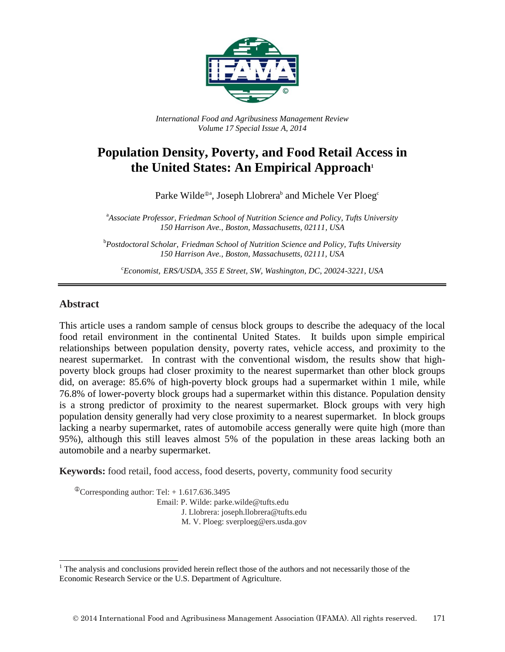

*International Food and Agribusiness Management Review Volume 17 Special Issue A, 2014*

# **Population Density, Poverty, and Food Retail Access in the United States: An Empirical Approach<sup>1</sup>**

Parke Wilde<sup>®a</sup>, Joseph Llobrera<sup>b</sup> and Michele Ver Ploeg<sup>e</sup>

<sup>a</sup>*Associate Professor, Friedman School of Nutrition Science and Policy, Tufts University 150 Harrison Ave., Boston, Massachusetts, 02111, USA*

<sup>b</sup>*Postdoctoral Scholar, Friedman School of Nutrition Science and Policy, Tufts University 150 Harrison Ave., Boston, Massachusetts, 02111, USA*

<sup>c</sup>*Economist, ERS/USDA, 355 E Street, SW, Washington, DC, 20024-3221, USA*

#### **Abstract**

l

This article uses a random sample of census block groups to describe the adequacy of the local food retail environment in the continental United States. It builds upon simple empirical relationships between population density, poverty rates, vehicle access, and proximity to the nearest supermarket. In contrast with the conventional wisdom, the results show that highpoverty block groups had closer proximity to the nearest supermarket than other block groups did, on average: 85.6% of high-poverty block groups had a supermarket within 1 mile, while 76.8% of lower-poverty block groups had a supermarket within this distance. Population density is a strong predictor of proximity to the nearest supermarket. Block groups with very high population density generally had very close proximity to a nearest supermarket. In block groups lacking a nearby supermarket, rates of automobile access generally were quite high (more than 95%), although this still leaves almost 5% of the population in these areas lacking both an automobile and a nearby supermarket.

**Keywords:** food retail, food access, food deserts, poverty, community food security

 $^{\circ}$ Corresponding author: Tel: + 1.617.636.3495 Email: P. Wilde: parke.wilde@tufts.edu J. Llobrera: joseph.llobrera@tufts.edu M. V. Ploeg: sverploeg@ers.usda.gov

 $<sup>1</sup>$  The analysis and conclusions provided herein reflect those of the authors and not necessarily those of the</sup> Economic Research Service or the U.S. Department of Agriculture.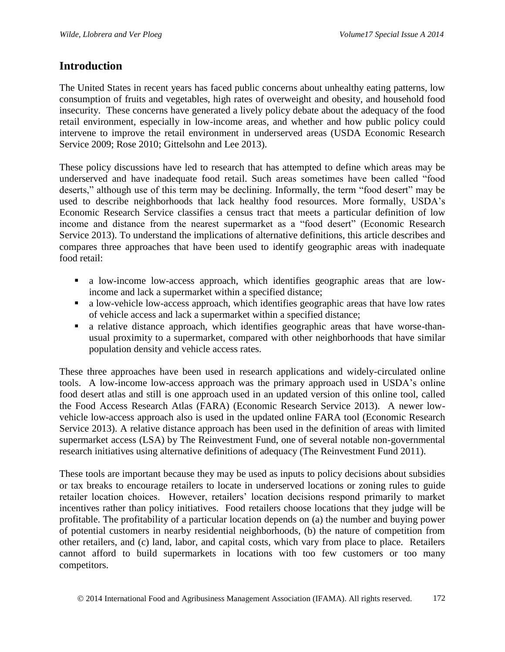### **Introduction**

The United States in recent years has faced public concerns about unhealthy eating patterns, low consumption of fruits and vegetables, high rates of overweight and obesity, and household food insecurity. These concerns have generated a lively policy debate about the adequacy of the food retail environment, especially in low-income areas, and whether and how public policy could intervene to improve the retail environment in underserved areas (USDA Economic Research Service 2009; Rose 2010; Gittelsohn and Lee 2013).

These policy discussions have led to research that has attempted to define which areas may be underserved and have inadequate food retail. Such areas sometimes have been called "food deserts," although use of this term may be declining. Informally, the term "food desert" may be used to describe neighborhoods that lack healthy food resources. More formally, USDA's Economic Research Service classifies a census tract that meets a particular definition of low income and distance from the nearest supermarket as a "food desert" (Economic Research Service 2013). To understand the implications of alternative definitions, this article describes and compares three approaches that have been used to identify geographic areas with inadequate food retail:

- a low-income low-access approach, which identifies geographic areas that are lowincome and lack a supermarket within a specified distance;
- a low-vehicle low-access approach, which identifies geographic areas that have low rates of vehicle access and lack a supermarket within a specified distance;
- a relative distance approach, which identifies geographic areas that have worse-thanusual proximity to a supermarket, compared with other neighborhoods that have similar population density and vehicle access rates.

These three approaches have been used in research applications and widely-circulated online tools. A low-income low-access approach was the primary approach used in USDA's online food desert atlas and still is one approach used in an updated version of this online tool, called the Food Access Research Atlas (FARA) (Economic Research Service 2013). A newer lowvehicle low-access approach also is used in the updated online FARA tool (Economic Research Service 2013). A relative distance approach has been used in the definition of areas with limited supermarket access (LSA) by The Reinvestment Fund, one of several notable non-governmental research initiatives using alternative definitions of adequacy (The Reinvestment Fund 2011).

These tools are important because they may be used as inputs to policy decisions about subsidies or tax breaks to encourage retailers to locate in underserved locations or zoning rules to guide retailer location choices. However, retailers' location decisions respond primarily to market incentives rather than policy initiatives. Food retailers choose locations that they judge will be profitable. The profitability of a particular location depends on (a) the number and buying power of potential customers in nearby residential neighborhoods, (b) the nature of competition from other retailers, and (c) land, labor, and capital costs, which vary from place to place. Retailers cannot afford to build supermarkets in locations with too few customers or too many competitors.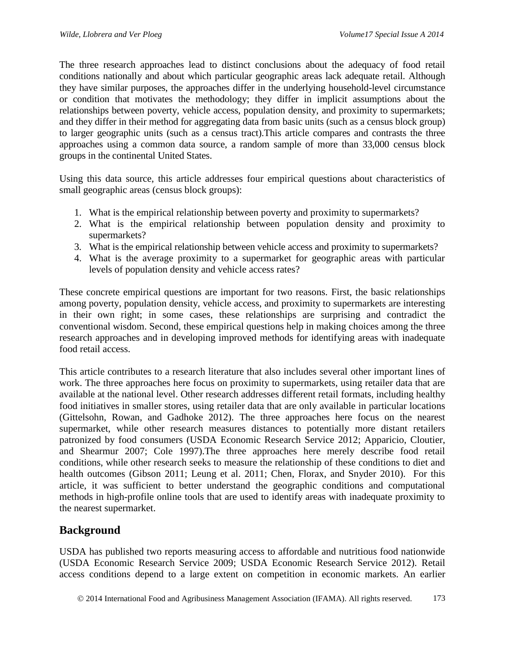The three research approaches lead to distinct conclusions about the adequacy of food retail conditions nationally and about which particular geographic areas lack adequate retail. Although they have similar purposes, the approaches differ in the underlying household-level circumstance or condition that motivates the methodology; they differ in implicit assumptions about the relationships between poverty, vehicle access, population density, and proximity to supermarkets; and they differ in their method for aggregating data from basic units (such as a census block group) to larger geographic units (such as a census tract).This article compares and contrasts the three approaches using a common data source, a random sample of more than 33,000 census block groups in the continental United States.

Using this data source, this article addresses four empirical questions about characteristics of small geographic areas (census block groups):

- 1. What is the empirical relationship between poverty and proximity to supermarkets?
- 2. What is the empirical relationship between population density and proximity to supermarkets?
- 3. What is the empirical relationship between vehicle access and proximity to supermarkets?
- 4. What is the average proximity to a supermarket for geographic areas with particular levels of population density and vehicle access rates?

These concrete empirical questions are important for two reasons. First, the basic relationships among poverty, population density, vehicle access, and proximity to supermarkets are interesting in their own right; in some cases, these relationships are surprising and contradict the conventional wisdom. Second, these empirical questions help in making choices among the three research approaches and in developing improved methods for identifying areas with inadequate food retail access.

This article contributes to a research literature that also includes several other important lines of work. The three approaches here focus on proximity to supermarkets, using retailer data that are available at the national level. Other research addresses different retail formats, including healthy food initiatives in smaller stores, using retailer data that are only available in particular locations (Gittelsohn, Rowan, and Gadhoke 2012). The three approaches here focus on the nearest supermarket, while other research measures distances to potentially more distant retailers patronized by food consumers (USDA Economic Research Service 2012; Apparicio, Cloutier, and Shearmur 2007; Cole 1997).The three approaches here merely describe food retail conditions, while other research seeks to measure the relationship of these conditions to diet and health outcomes (Gibson 2011; Leung et al. 2011; Chen, Florax, and Snyder 2010). For this article, it was sufficient to better understand the geographic conditions and computational methods in high-profile online tools that are used to identify areas with inadequate proximity to the nearest supermarket.

# **Background**

USDA has published two reports measuring access to affordable and nutritious food nationwide (USDA Economic Research Service 2009; USDA Economic Research Service 2012). Retail access conditions depend to a large extent on competition in economic markets. An earlier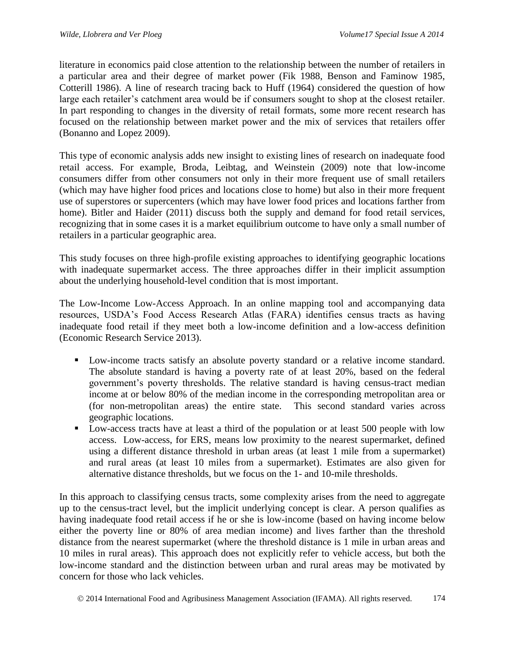literature in economics paid close attention to the relationship between the number of retailers in a particular area and their degree of market power (Fik 1988, Benson and Faminow 1985, Cotterill 1986). A line of research tracing back to Huff (1964) considered the question of how large each retailer's catchment area would be if consumers sought to shop at the closest retailer. In part responding to changes in the diversity of retail formats, some more recent research has focused on the relationship between market power and the mix of services that retailers offer (Bonanno and Lopez 2009).

This type of economic analysis adds new insight to existing lines of research on inadequate food retail access. For example, Broda, Leibtag, and Weinstein (2009) note that low-income consumers differ from other consumers not only in their more frequent use of small retailers (which may have higher food prices and locations close to home) but also in their more frequent use of superstores or supercenters (which may have lower food prices and locations farther from home). Bitler and Haider (2011) discuss both the supply and demand for food retail services, recognizing that in some cases it is a market equilibrium outcome to have only a small number of retailers in a particular geographic area.

This study focuses on three high-profile existing approaches to identifying geographic locations with inadequate supermarket access. The three approaches differ in their implicit assumption about the underlying household-level condition that is most important.

The Low-Income Low-Access Approach. In an online mapping tool and accompanying data resources, USDA's Food Access Research Atlas (FARA) identifies census tracts as having inadequate food retail if they meet both a low-income definition and a low-access definition (Economic Research Service 2013).

- **Low-income tracts satisfy an absolute poverty standard or a relative income standard.** The absolute standard is having a poverty rate of at least 20%, based on the federal government's poverty thresholds. The relative standard is having census-tract median income at or below 80% of the median income in the corresponding metropolitan area or (for non-metropolitan areas) the entire state. This second standard varies across geographic locations.
- **Low-access tracts have at least a third of the population or at least 500 people with low** access. Low-access, for ERS, means low proximity to the nearest supermarket, defined using a different distance threshold in urban areas (at least 1 mile from a supermarket) and rural areas (at least 10 miles from a supermarket). Estimates are also given for alternative distance thresholds, but we focus on the 1- and 10-mile thresholds.

In this approach to classifying census tracts, some complexity arises from the need to aggregate up to the census-tract level, but the implicit underlying concept is clear. A person qualifies as having inadequate food retail access if he or she is low-income (based on having income below either the poverty line or 80% of area median income) and lives farther than the threshold distance from the nearest supermarket (where the threshold distance is 1 mile in urban areas and 10 miles in rural areas). This approach does not explicitly refer to vehicle access, but both the low-income standard and the distinction between urban and rural areas may be motivated by concern for those who lack vehicles.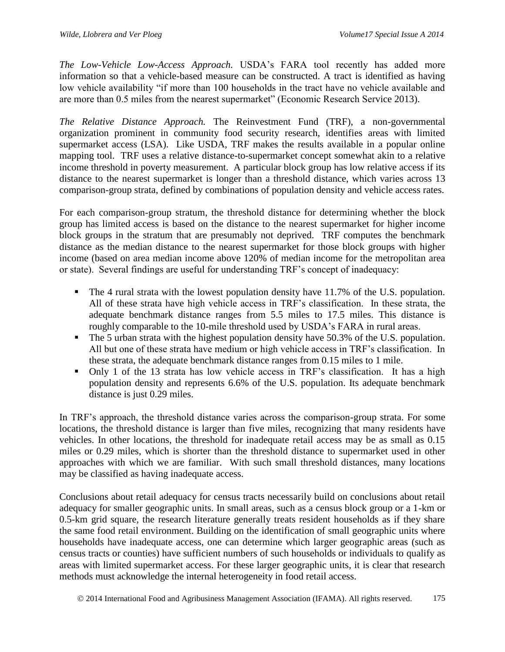*The Low-Vehicle Low-Access Approach.* USDA's FARA tool recently has added more information so that a vehicle-based measure can be constructed. A tract is identified as having low vehicle availability "if more than 100 households in the tract have no vehicle available and are more than 0.5 miles from the nearest supermarket" (Economic Research Service 2013).

*The Relative Distance Approach.* The Reinvestment Fund (TRF), a non-governmental organization prominent in community food security research, identifies areas with limited supermarket access (LSA). Like USDA, TRF makes the results available in a popular online mapping tool. TRF uses a relative distance-to-supermarket concept somewhat akin to a relative income threshold in poverty measurement. A particular block group has low relative access if its distance to the nearest supermarket is longer than a threshold distance, which varies across 13 comparison-group strata, defined by combinations of population density and vehicle access rates.

For each comparison-group stratum, the threshold distance for determining whether the block group has limited access is based on the distance to the nearest supermarket for higher income block groups in the stratum that are presumably not deprived. TRF computes the benchmark distance as the median distance to the nearest supermarket for those block groups with higher income (based on area median income above 120% of median income for the metropolitan area or state). Several findings are useful for understanding TRF's concept of inadequacy:

- The 4 rural strata with the lowest population density have 11.7% of the U.S. population. All of these strata have high vehicle access in TRF's classification. In these strata, the adequate benchmark distance ranges from 5.5 miles to 17.5 miles. This distance is roughly comparable to the 10-mile threshold used by USDA's FARA in rural areas.
- The 5 urban strata with the highest population density have 50.3% of the U.S. population. All but one of these strata have medium or high vehicle access in TRF's classification. In these strata, the adequate benchmark distance ranges from 0.15 miles to 1 mile.
- Only 1 of the 13 strata has low vehicle access in TRF's classification. It has a high population density and represents 6.6% of the U.S. population. Its adequate benchmark distance is just 0.29 miles.

In TRF's approach, the threshold distance varies across the comparison-group strata. For some locations, the threshold distance is larger than five miles, recognizing that many residents have vehicles. In other locations, the threshold for inadequate retail access may be as small as 0.15 miles or 0.29 miles, which is shorter than the threshold distance to supermarket used in other approaches with which we are familiar. With such small threshold distances, many locations may be classified as having inadequate access.

Conclusions about retail adequacy for census tracts necessarily build on conclusions about retail adequacy for smaller geographic units. In small areas, such as a census block group or a 1-km or 0.5-km grid square, the research literature generally treats resident households as if they share the same food retail environment. Building on the identification of small geographic units where households have inadequate access, one can determine which larger geographic areas (such as census tracts or counties) have sufficient numbers of such households or individuals to qualify as areas with limited supermarket access. For these larger geographic units, it is clear that research methods must acknowledge the internal heterogeneity in food retail access.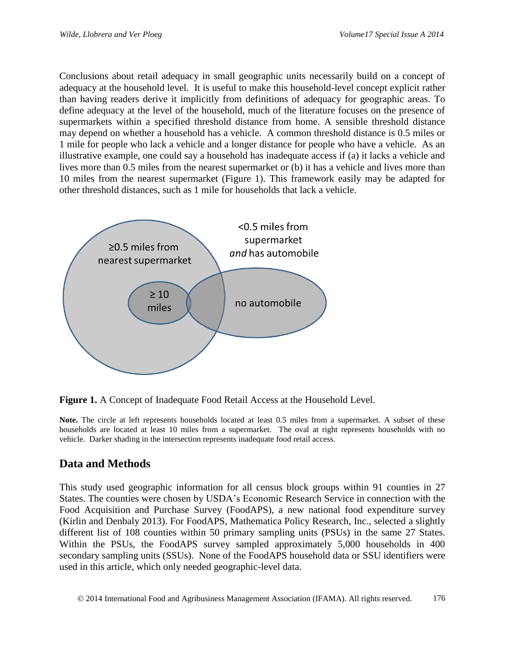Conclusions about retail adequacy in small geographic units necessarily build on a concept of adequacy at the household level. It is useful to make this household-level concept explicit rather than having readers derive it implicitly from definitions of adequacy for geographic areas. To define adequacy at the level of the household, much of the literature focuses on the presence of supermarkets within a specified threshold distance from home. A sensible threshold distance may depend on whether a household has a vehicle. A common threshold distance is 0.5 miles or 1 mile for people who lack a vehicle and a longer distance for people who have a vehicle. As an illustrative example, one could say a household has inadequate access if (a) it lacks a vehicle and lives more than 0.5 miles from the nearest supermarket or (b) it has a vehicle and lives more than 10 miles from the nearest supermarket (Figure 1). This framework easily may be adapted for other threshold distances, such as 1 mile for households that lack a vehicle.



**Figure 1.** A Concept of Inadequate Food Retail Access at the Household Level.

**Note.** The circle at left represents households located at least 0.5 miles from a supermarket. A subset of these households are located at least 10 miles from a supermarket. The oval at right represents households with no vehicle. Darker shading in the intersection represents inadequate food retail access.

# **Data and Methods**

This study used geographic information for all census block groups within 91 counties in 27 States. The counties were chosen by USDA's Economic Research Service in connection with the Food Acquisition and Purchase Survey (FoodAPS), a new national food expenditure survey (Kirlin and Denbaly 2013). For FoodAPS, Mathematica Policy Research, Inc., selected a slightly different list of 108 counties within 50 primary sampling units (PSUs) in the same 27 States. Within the PSUs, the FoodAPS survey sampled approximately 5,000 households in 400 secondary sampling units (SSUs). None of the FoodAPS household data or SSU identifiers were used in this article, which only needed geographic-level data.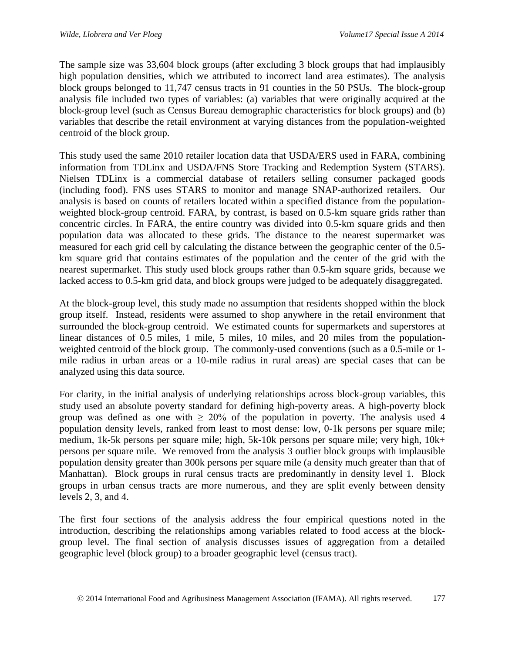The sample size was 33,604 block groups (after excluding 3 block groups that had implausibly high population densities, which we attributed to incorrect land area estimates). The analysis block groups belonged to 11,747 census tracts in 91 counties in the 50 PSUs. The block-group analysis file included two types of variables: (a) variables that were originally acquired at the block-group level (such as Census Bureau demographic characteristics for block groups) and (b) variables that describe the retail environment at varying distances from the population-weighted centroid of the block group.

This study used the same 2010 retailer location data that USDA/ERS used in FARA, combining information from TDLinx and USDA/FNS Store Tracking and Redemption System (STARS). Nielsen TDLinx is a commercial database of retailers selling consumer packaged goods (including food). FNS uses STARS to monitor and manage SNAP-authorized retailers. Our analysis is based on counts of retailers located within a specified distance from the populationweighted block-group centroid. FARA, by contrast, is based on 0.5-km square grids rather than concentric circles. In FARA, the entire country was divided into 0.5-km square grids and then population data was allocated to these grids. The distance to the nearest supermarket was measured for each grid cell by calculating the distance between the geographic center of the 0.5 km square grid that contains estimates of the population and the center of the grid with the nearest supermarket. This study used block groups rather than 0.5-km square grids, because we lacked access to 0.5-km grid data, and block groups were judged to be adequately disaggregated.

At the block-group level, this study made no assumption that residents shopped within the block group itself. Instead, residents were assumed to shop anywhere in the retail environment that surrounded the block-group centroid. We estimated counts for supermarkets and superstores at linear distances of 0.5 miles, 1 mile, 5 miles, 10 miles, and 20 miles from the populationweighted centroid of the block group. The commonly-used conventions (such as a 0.5-mile or 1 mile radius in urban areas or a 10-mile radius in rural areas) are special cases that can be analyzed using this data source.

For clarity, in the initial analysis of underlying relationships across block-group variables, this study used an absolute poverty standard for defining high-poverty areas. A high-poverty block group was defined as one with  $\geq 20\%$  of the population in poverty. The analysis used 4 population density levels, ranked from least to most dense: low, 0-1k persons per square mile; medium, 1k-5k persons per square mile; high, 5k-10k persons per square mile; very high, 10k+ persons per square mile. We removed from the analysis 3 outlier block groups with implausible population density greater than 300k persons per square mile (a density much greater than that of Manhattan). Block groups in rural census tracts are predominantly in density level 1. Block groups in urban census tracts are more numerous, and they are split evenly between density levels 2, 3, and 4.

The first four sections of the analysis address the four empirical questions noted in the introduction, describing the relationships among variables related to food access at the blockgroup level. The final section of analysis discusses issues of aggregation from a detailed geographic level (block group) to a broader geographic level (census tract).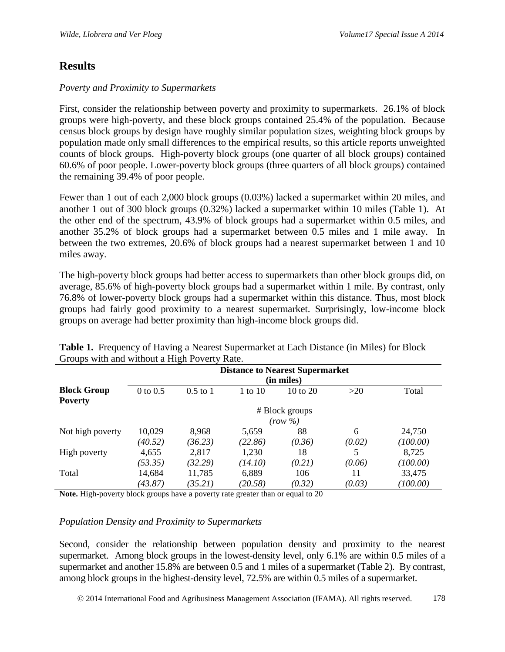### **Results**

#### *Poverty and Proximity to Supermarkets*

First, consider the relationship between poverty and proximity to supermarkets. 26.1% of block groups were high-poverty, and these block groups contained 25.4% of the population. Because census block groups by design have roughly similar population sizes, weighting block groups by population made only small differences to the empirical results, so this article reports unweighted counts of block groups. High-poverty block groups (one quarter of all block groups) contained 60.6% of poor people. Lower-poverty block groups (three quarters of all block groups) contained the remaining 39.4% of poor people.

Fewer than 1 out of each 2,000 block groups (0.03%) lacked a supermarket within 20 miles, and another 1 out of 300 block groups (0.32%) lacked a supermarket within 10 miles (Table 1). At the other end of the spectrum, 43.9% of block groups had a supermarket within 0.5 miles, and another 35.2% of block groups had a supermarket between 0.5 miles and 1 mile away. In between the two extremes, 20.6% of block groups had a nearest supermarket between 1 and 10 miles away.

The high-poverty block groups had better access to supermarkets than other block groups did, on average, 85.6% of high-poverty block groups had a supermarket within 1 mile. By contrast, only 76.8% of lower-poverty block groups had a supermarket within this distance. Thus, most block groups had fairly good proximity to a nearest supermarket. Surprisingly, low-income block groups on average had better proximity than high-income block groups did.

| <b>Block Group</b><br><b>Poverty</b> | <b>Distance to Nearest Supermarket</b><br>(in miles) |                   |                  |               |              |                    |  |  |  |  |
|--------------------------------------|------------------------------------------------------|-------------------|------------------|---------------|--------------|--------------------|--|--|--|--|
|                                      | $0$ to $0.5$                                         | $0.5$ to 1        | 1 to 10          | 10 to 20      | >20          | Total              |  |  |  |  |
|                                      | # Block groups<br>$(row \%)$                         |                   |                  |               |              |                    |  |  |  |  |
| Not high poverty                     | 10,029<br>(40.52)                                    | 8,968<br>(36.23)  | 5,659<br>(22.86) | 88<br>(0.36)  | 6<br>(0.02)  | 24,750<br>(100.00) |  |  |  |  |
| High poverty                         | 4,655<br>(53.35)                                     | 2,817<br>(32.29)  | 1,230<br>(14.10) | 18<br>(0.21)  | (0.06)       | 8,725<br>(100.00)  |  |  |  |  |
| Total                                | 14,684<br>(43.87)                                    | 11,785<br>(35.21) | 6,889<br>(20.58) | 106<br>(0.32) | 11<br>(0.03) | 33,475<br>(100.00) |  |  |  |  |

**Table 1.** Frequency of Having a Nearest Supermarket at Each Distance (in Miles) for Block Groups with and without a High Poverty Rate.

**Note.** High-poverty block groups have a poverty rate greater than or equal to 20

#### *Population Density and Proximity to Supermarkets*

Second, consider the relationship between population density and proximity to the nearest supermarket. Among block groups in the lowest-density level, only 6.1% are within 0.5 miles of a supermarket and another 15.8% are between 0.5 and 1 miles of a supermarket (Table 2). By contrast, among block groups in the highest-density level, 72.5% are within 0.5 miles of a supermarket.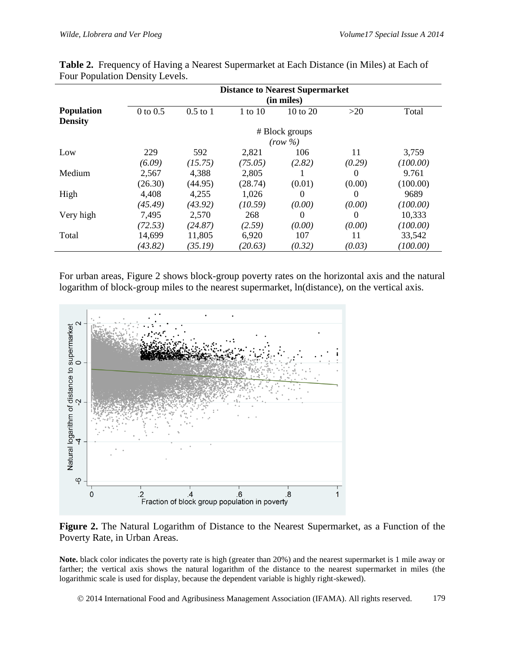|                                     | <b>Distance to Nearest Supermarket</b><br>(in miles) |            |             |                |          |          |  |
|-------------------------------------|------------------------------------------------------|------------|-------------|----------------|----------|----------|--|
| <b>Population</b><br><b>Density</b> | $0$ to $0.5$                                         | $0.5$ to 1 | $1$ to $10$ | 10 to 20       | $>20$    | Total    |  |
|                                     |                                                      |            |             | # Block groups |          |          |  |
|                                     |                                                      |            |             | $(row \%)$     |          |          |  |
| Low                                 | 229                                                  | 592        | 2,821       | 106            | 11       | 3,759    |  |
|                                     | (6.09)                                               | (15.75)    | (75.05)     | (2.82)         | (0.29)   | (100.00) |  |
| Medium                              | 2,567                                                | 4,388      | 2,805       |                | $\theta$ | 9.761    |  |
|                                     | (26.30)                                              | (44.95)    | (28.74)     | (0.01)         | (0.00)   | (100.00) |  |
| High                                | 4,408                                                | 4,255      | 1,026       | 0              | $\theta$ | 9689     |  |
|                                     | (45.49)                                              | (43.92)    | (10.59)     | (0.00)         | (0.00)   | (100.00) |  |
| Very high                           | 7,495                                                | 2,570      | 268         | $\theta$       | $\Omega$ | 10,333   |  |
|                                     | (72.53)                                              | (24.87)    | (2.59)      | (0.00)         | (0.00)   | (100.00) |  |
| Total                               | 14,699                                               | 11,805     | 6,920       | 107            | 11       | 33,542   |  |
|                                     | (43.82)                                              | (35.19)    | (20.63)     | (0.32)         | (0.03)   | (100.00) |  |

**Table 2.** Frequency of Having a Nearest Supermarket at Each Distance (in Miles) at Each of Four Population Density Levels.

For urban areas, Figure 2 shows block-group poverty rates on the horizontal axis and the natural logarithm of block-group miles to the nearest supermarket, ln(distance), on the vertical axis.



**Figure 2.** The Natural Logarithm of Distance to the Nearest Supermarket, as a Function of the Poverty Rate, in Urban Areas.

**Note.** black color indicates the poverty rate is high (greater than 20%) and the nearest supermarket is 1 mile away or farther; the vertical axis shows the natural logarithm of the distance to the nearest supermarket in miles (the logarithmic scale is used for display, because the dependent variable is highly right-skewed).

© 2014 International Food and Agribusiness Management Association (IFAMA). All rights reserved. 179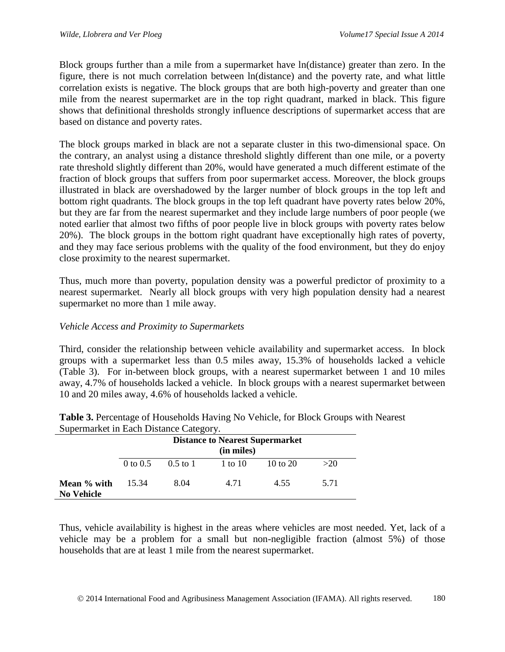Block groups further than a mile from a supermarket have ln(distance) greater than zero. In the figure, there is not much correlation between ln(distance) and the poverty rate, and what little correlation exists is negative. The block groups that are both high-poverty and greater than one mile from the nearest supermarket are in the top right quadrant, marked in black. This figure shows that definitional thresholds strongly influence descriptions of supermarket access that are based on distance and poverty rates.

The block groups marked in black are not a separate cluster in this two-dimensional space. On the contrary, an analyst using a distance threshold slightly different than one mile, or a poverty rate threshold slightly different than 20%, would have generated a much different estimate of the fraction of block groups that suffers from poor supermarket access. Moreover, the block groups illustrated in black are overshadowed by the larger number of block groups in the top left and bottom right quadrants. The block groups in the top left quadrant have poverty rates below 20%, but they are far from the nearest supermarket and they include large numbers of poor people (we noted earlier that almost two fifths of poor people live in block groups with poverty rates below 20%). The block groups in the bottom right quadrant have exceptionally high rates of poverty, and they may face serious problems with the quality of the food environment, but they do enjoy close proximity to the nearest supermarket.

Thus, much more than poverty, population density was a powerful predictor of proximity to a nearest supermarket. Nearly all block groups with very high population density had a nearest supermarket no more than 1 mile away.

#### *Vehicle Access and Proximity to Supermarkets*

Third, consider the relationship between vehicle availability and supermarket access. In block groups with a supermarket less than 0.5 miles away, 15.3% of households lacked a vehicle (Table 3). For in-between block groups, with a nearest supermarket between 1 and 10 miles away, 4.7% of households lacked a vehicle. In block groups with a nearest supermarket between 10 and 20 miles away, 4.6% of households lacked a vehicle.

| Supermaned in Each Distance Category. |                                                      |                     |         |          |      |  |  |  |
|---------------------------------------|------------------------------------------------------|---------------------|---------|----------|------|--|--|--|
|                                       | <b>Distance to Nearest Supermarket</b><br>(in miles) |                     |         |          |      |  |  |  |
|                                       |                                                      | 0 to 0.5 $0.5$ to 1 | 1 to 10 | 10 to 20 | >20  |  |  |  |
| Mean % with<br><b>No Vehicle</b>      | 15.34                                                | 8.04                | 4.71    | 4.55     | 5.71 |  |  |  |

| <b>Table 3.</b> Percentage of Households Having No Vehicle, for Block Groups with Nearest |  |
|-------------------------------------------------------------------------------------------|--|
| Supermarket in Each Distance Category.                                                    |  |

Thus, vehicle availability is highest in the areas where vehicles are most needed. Yet, lack of a vehicle may be a problem for a small but non-negligible fraction (almost 5%) of those households that are at least 1 mile from the nearest supermarket.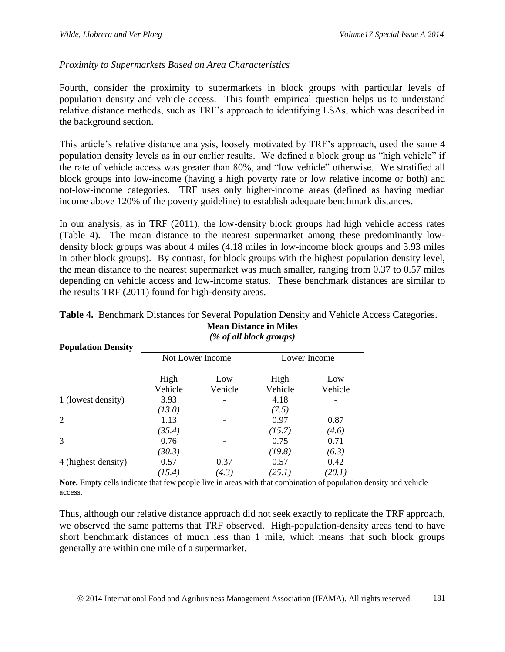#### *Proximity to Supermarkets Based on Area Characteristics*

Fourth, consider the proximity to supermarkets in block groups with particular levels of population density and vehicle access. This fourth empirical question helps us to understand relative distance methods, such as TRF's approach to identifying LSAs, which was described in the background section.

This article's relative distance analysis, loosely motivated by TRF's approach, used the same 4 population density levels as in our earlier results. We defined a block group as "high vehicle" if the rate of vehicle access was greater than 80%, and "low vehicle" otherwise. We stratified all block groups into low-income (having a high poverty rate or low relative income or both) and not-low-income categories. TRF uses only higher-income areas (defined as having median income above 120% of the poverty guideline) to establish adequate benchmark distances.

In our analysis, as in TRF (2011), the low-density block groups had high vehicle access rates (Table 4). The mean distance to the nearest supermarket among these predominantly lowdensity block groups was about 4 miles (4.18 miles in low-income block groups and 3.93 miles in other block groups). By contrast, for block groups with the highest population density level, the mean distance to the nearest supermarket was much smaller, ranging from 0.37 to 0.57 miles depending on vehicle access and low-income status. These benchmark distances are similar to the results TRF (2011) found for high-density areas.

|                           | <b>Mean Distance in Miles</b><br>(% of all block groups) |                  |                 |                |  |  |  |
|---------------------------|----------------------------------------------------------|------------------|-----------------|----------------|--|--|--|
| <b>Population Density</b> |                                                          | Not Lower Income |                 | Lower Income   |  |  |  |
|                           | High<br>Vehicle                                          | Low<br>Vehicle   | High<br>Vehicle | Low<br>Vehicle |  |  |  |
| 1 (lowest density)        | 3.93<br>(13.0)                                           |                  | 4.18<br>(7.5)   |                |  |  |  |
| 2                         | 1.13<br>(35.4)                                           |                  | 0.97<br>(15.7)  | 0.87<br>(4.6)  |  |  |  |
| 3                         | 0.76<br>(30.3)                                           |                  | 0.75<br>(19.8)  | 0.71<br>(6.3)  |  |  |  |
| 4 (highest density)       | 0.57<br>(15.4)                                           | 0.37<br>(4.3)    | 0.57<br>(25.1)  | 0.42<br>(20.1) |  |  |  |

**Table 4.** Benchmark Distances for Several Population Density and Vehicle Access Categories.

**Note.** Empty cells indicate that few people live in areas with that combination of population density and vehicle access.

Thus, although our relative distance approach did not seek exactly to replicate the TRF approach, we observed the same patterns that TRF observed. High-population-density areas tend to have short benchmark distances of much less than 1 mile, which means that such block groups generally are within one mile of a supermarket.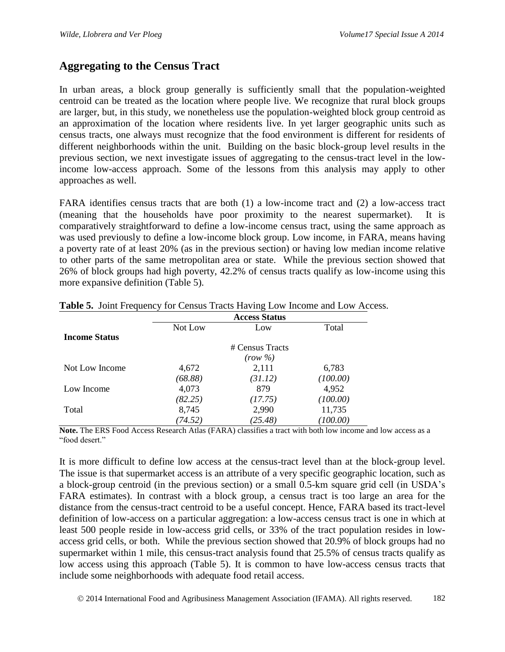# **Aggregating to the Census Tract**

In urban areas, a block group generally is sufficiently small that the population-weighted centroid can be treated as the location where people live. We recognize that rural block groups are larger, but, in this study, we nonetheless use the population-weighted block group centroid as an approximation of the location where residents live. In yet larger geographic units such as census tracts, one always must recognize that the food environment is different for residents of different neighborhoods within the unit. Building on the basic block-group level results in the previous section, we next investigate issues of aggregating to the census-tract level in the lowincome low-access approach. Some of the lessons from this analysis may apply to other approaches as well.

FARA identifies census tracts that are both (1) a low-income tract and (2) a low-access tract (meaning that the households have poor proximity to the nearest supermarket). It is comparatively straightforward to define a low-income census tract, using the same approach as was used previously to define a low-income block group. Low income, in FARA, means having a poverty rate of at least 20% (as in the previous section) or having low median income relative to other parts of the same metropolitan area or state. While the previous section showed that 26% of block groups had high poverty, 42.2% of census tracts qualify as low-income using this more expansive definition (Table 5).

|                      | <b>Access Status</b> |                 |          |  |  |  |  |
|----------------------|----------------------|-----------------|----------|--|--|--|--|
|                      | Not Low              | Low             | Total    |  |  |  |  |
| <b>Income Status</b> |                      |                 |          |  |  |  |  |
|                      |                      | # Census Tracts |          |  |  |  |  |
|                      |                      | $(row \%)$      |          |  |  |  |  |
| Not Low Income       | 4,672                | 2,111           | 6,783    |  |  |  |  |
|                      | (68.88)              | (31.12)         | (100.00) |  |  |  |  |
| Low Income           | 4,073                | 879             | 4,952    |  |  |  |  |
|                      | (82.25)              | (17.75)         | (100.00) |  |  |  |  |
| Total                | 8,745                | 2,990           | 11,735   |  |  |  |  |
|                      | (74.52)              | (25.48)         | (100.00) |  |  |  |  |

|  | Table 5. Joint Frequency for Census Tracts Having Low Income and Low Access. |  |  |  |  |
|--|------------------------------------------------------------------------------|--|--|--|--|
|  |                                                                              |  |  |  |  |

**Note.** The ERS Food Access Research Atlas (FARA) classifies a tract with both low income and low access as a "food desert."

It is more difficult to define low access at the census-tract level than at the block-group level. The issue is that supermarket access is an attribute of a very specific geographic location, such as a block-group centroid (in the previous section) or a small 0.5-km square grid cell (in USDA's FARA estimates). In contrast with a block group, a census tract is too large an area for the distance from the census-tract centroid to be a useful concept. Hence, FARA based its tract-level definition of low-access on a particular aggregation: a low-access census tract is one in which at least 500 people reside in low-access grid cells, or 33% of the tract population resides in lowaccess grid cells, or both. While the previous section showed that 20.9% of block groups had no supermarket within 1 mile, this census-tract analysis found that 25.5% of census tracts qualify as low access using this approach (Table 5). It is common to have low-access census tracts that include some neighborhoods with adequate food retail access.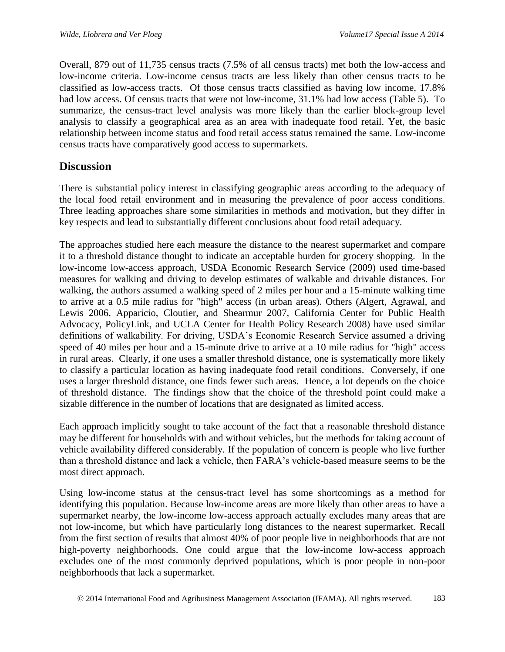Overall, 879 out of 11,735 census tracts (7.5% of all census tracts) met both the low-access and low-income criteria. Low-income census tracts are less likely than other census tracts to be classified as low-access tracts. Of those census tracts classified as having low income, 17.8% had low access. Of census tracts that were not low-income, 31.1% had low access (Table 5). To summarize, the census-tract level analysis was more likely than the earlier block-group level analysis to classify a geographical area as an area with inadequate food retail. Yet, the basic relationship between income status and food retail access status remained the same. Low-income census tracts have comparatively good access to supermarkets.

# **Discussion**

There is substantial policy interest in classifying geographic areas according to the adequacy of the local food retail environment and in measuring the prevalence of poor access conditions. Three leading approaches share some similarities in methods and motivation, but they differ in key respects and lead to substantially different conclusions about food retail adequacy.

The approaches studied here each measure the distance to the nearest supermarket and compare it to a threshold distance thought to indicate an acceptable burden for grocery shopping. In the low-income low-access approach, USDA Economic Research Service (2009) used time-based measures for walking and driving to develop estimates of walkable and drivable distances. For walking, the authors assumed a walking speed of 2 miles per hour and a 15-minute walking time to arrive at a 0.5 mile radius for "high" access (in urban areas). Others (Algert, Agrawal, and Lewis 2006, Apparicio, Cloutier, and Shearmur 2007, California Center for Public Health Advocacy, PolicyLink, and UCLA Center for Health Policy Research 2008) have used similar definitions of walkability. For driving, USDA's Economic Research Service assumed a driving speed of 40 miles per hour and a 15-minute drive to arrive at a 10 mile radius for "high" access in rural areas. Clearly, if one uses a smaller threshold distance, one is systematically more likely to classify a particular location as having inadequate food retail conditions. Conversely, if one uses a larger threshold distance, one finds fewer such areas. Hence, a lot depends on the choice of threshold distance. The findings show that the choice of the threshold point could make a sizable difference in the number of locations that are designated as limited access.

Each approach implicitly sought to take account of the fact that a reasonable threshold distance may be different for households with and without vehicles, but the methods for taking account of vehicle availability differed considerably. If the population of concern is people who live further than a threshold distance and lack a vehicle, then FARA's vehicle-based measure seems to be the most direct approach.

Using low-income status at the census-tract level has some shortcomings as a method for identifying this population. Because low-income areas are more likely than other areas to have a supermarket nearby, the low-income low-access approach actually excludes many areas that are not low-income, but which have particularly long distances to the nearest supermarket. Recall from the first section of results that almost 40% of poor people live in neighborhoods that are not high-poverty neighborhoods. One could argue that the low-income low-access approach excludes one of the most commonly deprived populations, which is poor people in non-poor neighborhoods that lack a supermarket.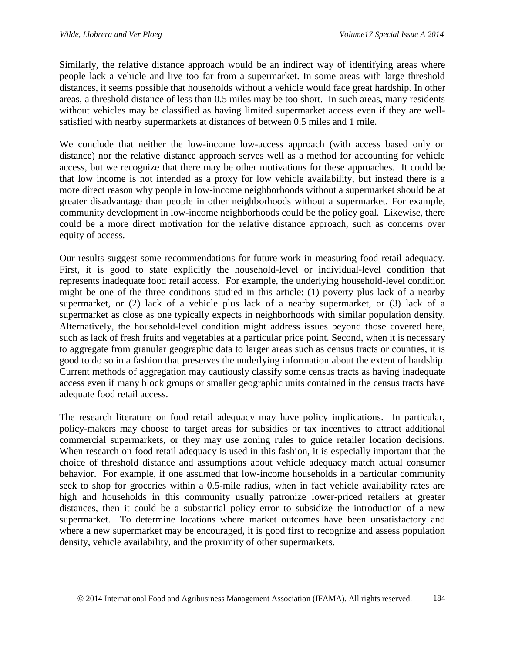Similarly, the relative distance approach would be an indirect way of identifying areas where people lack a vehicle and live too far from a supermarket. In some areas with large threshold distances, it seems possible that households without a vehicle would face great hardship. In other areas, a threshold distance of less than 0.5 miles may be too short. In such areas, many residents without vehicles may be classified as having limited supermarket access even if they are wellsatisfied with nearby supermarkets at distances of between 0.5 miles and 1 mile.

We conclude that neither the low-income low-access approach (with access based only on distance) nor the relative distance approach serves well as a method for accounting for vehicle access, but we recognize that there may be other motivations for these approaches. It could be that low income is not intended as a proxy for low vehicle availability, but instead there is a more direct reason why people in low-income neighborhoods without a supermarket should be at greater disadvantage than people in other neighborhoods without a supermarket. For example, community development in low-income neighborhoods could be the policy goal. Likewise, there could be a more direct motivation for the relative distance approach, such as concerns over equity of access.

Our results suggest some recommendations for future work in measuring food retail adequacy. First, it is good to state explicitly the household-level or individual-level condition that represents inadequate food retail access. For example, the underlying household-level condition might be one of the three conditions studied in this article: (1) poverty plus lack of a nearby supermarket, or (2) lack of a vehicle plus lack of a nearby supermarket, or (3) lack of a supermarket as close as one typically expects in neighborhoods with similar population density. Alternatively, the household-level condition might address issues beyond those covered here, such as lack of fresh fruits and vegetables at a particular price point. Second, when it is necessary to aggregate from granular geographic data to larger areas such as census tracts or counties, it is good to do so in a fashion that preserves the underlying information about the extent of hardship. Current methods of aggregation may cautiously classify some census tracts as having inadequate access even if many block groups or smaller geographic units contained in the census tracts have adequate food retail access.

The research literature on food retail adequacy may have policy implications. In particular, policy-makers may choose to target areas for subsidies or tax incentives to attract additional commercial supermarkets, or they may use zoning rules to guide retailer location decisions. When research on food retail adequacy is used in this fashion, it is especially important that the choice of threshold distance and assumptions about vehicle adequacy match actual consumer behavior. For example, if one assumed that low-income households in a particular community seek to shop for groceries within a 0.5-mile radius, when in fact vehicle availability rates are high and households in this community usually patronize lower-priced retailers at greater distances, then it could be a substantial policy error to subsidize the introduction of a new supermarket. To determine locations where market outcomes have been unsatisfactory and where a new supermarket may be encouraged, it is good first to recognize and assess population density, vehicle availability, and the proximity of other supermarkets.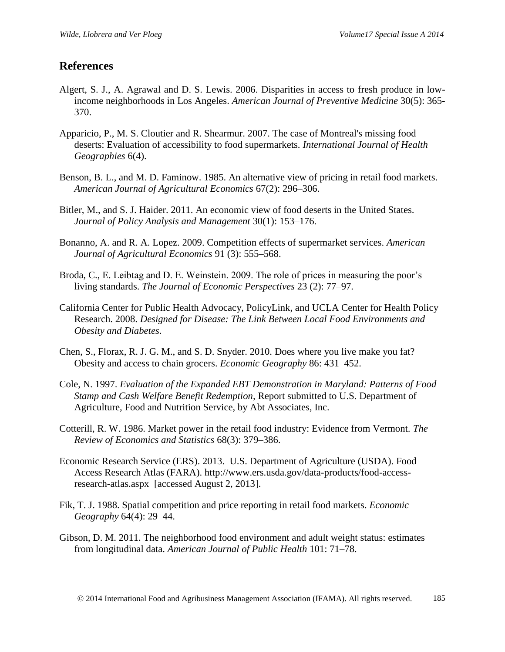### **References**

- Algert, S. J., A. Agrawal and D. S. Lewis. 2006. Disparities in access to fresh produce in lowincome neighborhoods in Los Angeles. *American Journal of Preventive Medicine* 30(5): 365- 370.
- Apparicio, P., M. S. Cloutier and R. Shearmur. 2007. The case of Montreal's missing food deserts: Evaluation of accessibility to food supermarkets. *International Journal of Health Geographies* 6(4).
- Benson, B. L., and M. D. Faminow. 1985. An alternative view of pricing in retail food markets. *American Journal of Agricultural Economics* 67(2): 296–306.
- Bitler, M., and S. J. Haider. 2011. An economic view of food deserts in the United States. *Journal of Policy Analysis and Management* 30(1): 153–176.
- Bonanno, A. and R. A. Lopez. 2009. Competition effects of supermarket services. *American Journal of Agricultural Economics* 91 (3): 555–568.
- Broda, C., E. Leibtag and D. E. Weinstein. 2009. The role of prices in measuring the poor's living standards. *The Journal of Economic Perspectives* 23 (2): 77–97.
- California Center for Public Health Advocacy, PolicyLink, and UCLA Center for Health Policy Research. 2008. *Designed for Disease: The Link Between Local Food Environments and Obesity and Diabetes*.
- Chen, S., Florax, R. J. G. M., and S. D. Snyder. 2010. Does where you live make you fat? Obesity and access to chain grocers. *Economic Geography* 86: 431–452.
- Cole, N. 1997. *Evaluation of the Expanded EBT Demonstration in Maryland: Patterns of Food Stamp and Cash Welfare Benefit Redemption,* Report submitted to U.S. Department of Agriculture, Food and Nutrition Service, by Abt Associates, Inc.
- Cotterill, R. W. 1986. Market power in the retail food industry: Evidence from Vermont. *The Review of Economics and Statistics* 68(3): 379–386.
- Economic Research Service (ERS). 2013. U.S. Department of Agriculture (USDA). Food Access Research Atlas (FARA). http://www.ers.usda.gov/data-products/food-accessresearch-atlas.aspx [accessed August 2, 2013].
- Fik, T. J. 1988. Spatial competition and price reporting in retail food markets. *Economic Geography* 64(4): 29–44.
- Gibson, D. M. 2011. The neighborhood food environment and adult weight status: estimates from longitudinal data. *American Journal of Public Health* 101: 71–78.